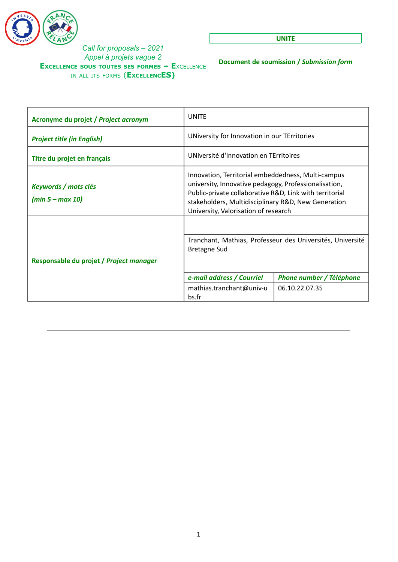

**UNITE**

**Document de soumission /** *Submission form*

| Acronyme du projet / Project acronym       | UNITE                                                                                                                                                                                                                                                                 |                          |  |
|--------------------------------------------|-----------------------------------------------------------------------------------------------------------------------------------------------------------------------------------------------------------------------------------------------------------------------|--------------------------|--|
| <b>Project title (in English)</b>          | UNiversity for Innovation in our TErritories                                                                                                                                                                                                                          |                          |  |
| Titre du projet en français                | UNiversité d'Innovation en TErritoires                                                                                                                                                                                                                                |                          |  |
| Keywords / mots clés<br>$(min 5 - max 10)$ | Innovation, Territorial embeddedness, Multi-campus<br>university, Innovative pedagogy, Professionalisation,<br>Public-private collaborative R&D, Link with territorial<br>stakeholders, Multidisciplinary R&D, New Generation<br>University, Valorisation of research |                          |  |
|                                            |                                                                                                                                                                                                                                                                       |                          |  |
| Responsable du projet / Project manager    | Tranchant, Mathias, Professeur des Universités, Université<br><b>Bretagne Sud</b>                                                                                                                                                                                     |                          |  |
|                                            | e-mail address / Courriel                                                                                                                                                                                                                                             | Phone number / Téléphone |  |
|                                            | mathias.tranchant@univ-u<br>bs.fr                                                                                                                                                                                                                                     | 06.10.22.07.35           |  |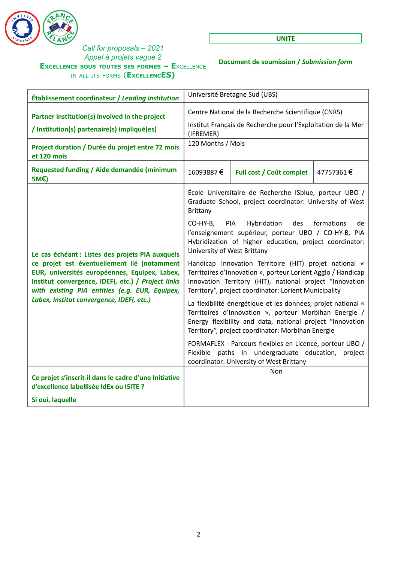

**UNITE**

**Document de soumission /** *Submission form*

| Établissement coordinateur / Leading institution                                                                                                                                                     | Université Bretagne Sud (UBS)                                                                                                                                                                                                               |                          |           |
|------------------------------------------------------------------------------------------------------------------------------------------------------------------------------------------------------|---------------------------------------------------------------------------------------------------------------------------------------------------------------------------------------------------------------------------------------------|--------------------------|-----------|
| Partner institution(s) involved in the project<br>/ Institution(s) partenaire(s) impliqué(es)                                                                                                        | Centre National de la Recherche Scientifique (CNRS)<br>Institut Français de Recherche pour l'Exploitation de la Mer<br>(IFREMER)                                                                                                            |                          |           |
| Project duration / Durée du projet entre 72 mois<br>et 120 mois                                                                                                                                      | 120 Months / Mois                                                                                                                                                                                                                           |                          |           |
| Requested funding / Aide demandée (minimum<br>5M€)                                                                                                                                                   | 16093887€                                                                                                                                                                                                                                   | Full cost / Coût complet | 47757361€ |
|                                                                                                                                                                                                      | École Universitaire de Recherche ISblue, porteur UBO /<br>Graduate School, project coordinator: University of West<br><b>Brittany</b>                                                                                                       |                          |           |
| Le cas échéant : Listes des projets PIA auxquels                                                                                                                                                     | Hybridation<br>des<br>CO-HY-B,<br>PIA<br>formations<br>de<br>l'enseignement supérieur, porteur UBO / CO-HY-B, PIA<br>Hybridization of higher education, project coordinator:<br>University of West Brittany                                 |                          |           |
| ce projet est éventuellement lié (notamment<br>EUR, universités européennes, Equipex, Labex,<br>Institut convergence, IDEFI, etc.) / Project links<br>with existing PIA entities (e.g. EUR, Equipex, | Handicap Innovation Territoire (HIT) projet national «<br>Territoires d'Innovation », porteur Lorient Agglo / Handicap<br>Innovation Territory (HIT), national project "Innovation<br>Territory", project coordinator: Lorient Municipality |                          |           |
| Labex, Institut convergence, IDEFI, etc.)                                                                                                                                                            | La flexibilité énergétique et les données, projet national «<br>Territoires d'Innovation », porteur Morbihan Energie /<br>Energy flexibility and data, national project "Innovation<br>Territory", project coordinator: Morbihan Energie    |                          |           |
|                                                                                                                                                                                                      | FORMAFLEX - Parcours flexibles en Licence, porteur UBO /<br>Flexible paths in undergraduate education, project<br>coordinator: University of West Brittany                                                                                  |                          |           |
| Ce projet s'inscrit-il dans le cadre d'une Initiative<br>d'excellence labellisée IdEx ou ISITE ?                                                                                                     |                                                                                                                                                                                                                                             | Non                      |           |
| Si oui, laquelle                                                                                                                                                                                     |                                                                                                                                                                                                                                             |                          |           |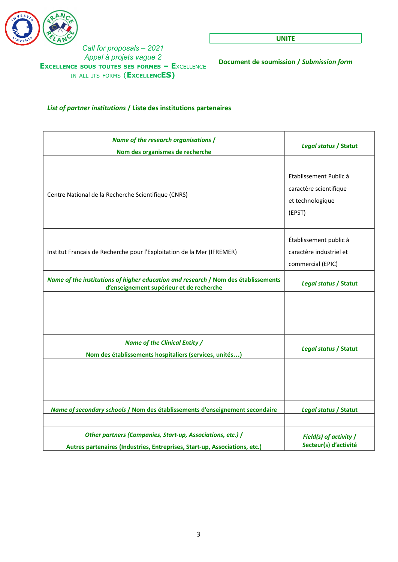

**UNITE**

**Document de soumission /** *Submission form*

### *List of partner institutions* **/ Liste des institutions partenaires**

| Name of the research organisations /<br>Nom des organismes de recherche                                                                  | Legal status / Statut                                                          |
|------------------------------------------------------------------------------------------------------------------------------------------|--------------------------------------------------------------------------------|
| Centre National de la Recherche Scientifique (CNRS)                                                                                      | Etablissement Public à<br>caractère scientifique<br>et technologique<br>(EPST) |
| Institut Français de Recherche pour l'Exploitation de la Mer (IFREMER)                                                                   | Établissement public à<br>caractère industriel et<br>commercial (EPIC)         |
| Name of the institutions of higher education and research / Nom des établissements<br>d'enseignement supérieur et de recherche           | Legal status / Statut                                                          |
|                                                                                                                                          |                                                                                |
| Name of the Clinical Entity /<br>Nom des établissements hospitaliers (services, unités)                                                  | Legal status / Statut                                                          |
|                                                                                                                                          |                                                                                |
| Name of secondary schools / Nom des établissements d'enseignement secondaire                                                             | Legal status / Statut                                                          |
| Other partners (Companies, Start-up, Associations, etc.) /<br>Autres partenaires (Industries, Entreprises, Start-up, Associations, etc.) | Field(s) of activity /<br>Secteur(s) d'activité                                |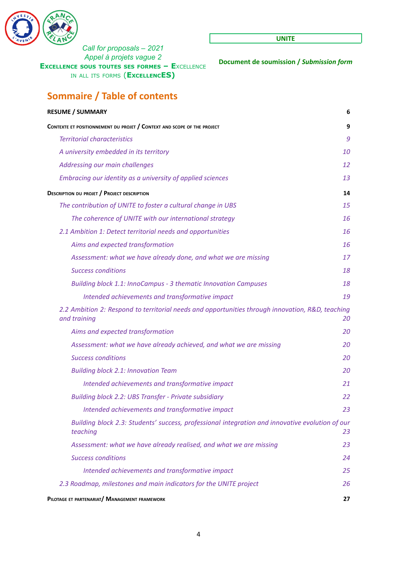

**UNITE**

**Document de soumission /** *Submission form*

# **Sommaire / Table of contents**

| <b>RESUME / SUMMARY</b>                                                                                          | 6         |
|------------------------------------------------------------------------------------------------------------------|-----------|
| CONTEXTE ET POSITIONNEMENT DU PROJET / CONTEXT AND SCOPE OF THE PROJECT                                          | 9         |
| <b>Territorial characteristics</b>                                                                               | 9         |
| A university embedded in its territory                                                                           | <i>10</i> |
| Addressing our main challenges                                                                                   | 12        |
| Embracing our identity as a university of applied sciences                                                       | 13        |
| <b>DESCRIPTION DU PROJET / PROJECT DESCRIPTION</b>                                                               | 14        |
| The contribution of UNITE to foster a cultural change in UBS                                                     | 15        |
| The coherence of UNITE with our international strategy                                                           | 16        |
| 2.1 Ambition 1: Detect territorial needs and opportunities                                                       | 16        |
| Aims and expected transformation                                                                                 | 16        |
| Assessment: what we have already done, and what we are missing                                                   | 17        |
| <b>Success conditions</b>                                                                                        | 18        |
| <b>Building block 1.1: InnoCampus - 3 thematic Innovation Campuses</b>                                           | 18        |
| Intended achievements and transformative impact                                                                  | 19        |
| 2.2 Ambition 2: Respond to territorial needs and opportunities through innovation, R&D, teaching<br>and training | 20        |
| Aims and expected transformation                                                                                 | 20        |
| Assessment: what we have already achieved, and what we are missing                                               | 20        |
| <b>Success conditions</b>                                                                                        | 20        |
| <b>Building block 2.1: Innovation Team</b>                                                                       | 20        |
| Intended achievements and transformative impact                                                                  | 21        |
| <b>Building block 2.2: UBS Transfer - Private subsidiary</b>                                                     | 22        |
| Intended achievements and transformative impact                                                                  | 23        |
| Building block 2.3: Students' success, professional integration and innovative evolution of our<br>teaching      | 23        |
| Assessment: what we have already realised, and what we are missing                                               | 23        |
| <b>Success conditions</b>                                                                                        | 24        |
| Intended achievements and transformative impact                                                                  | 25        |
| 2.3 Roadmap, milestones and main indicators for the UNITE project                                                | 26        |
| PILOTAGE ET PARTENARIAT/ MANAGEMENT FRAMEWORK                                                                    | 27        |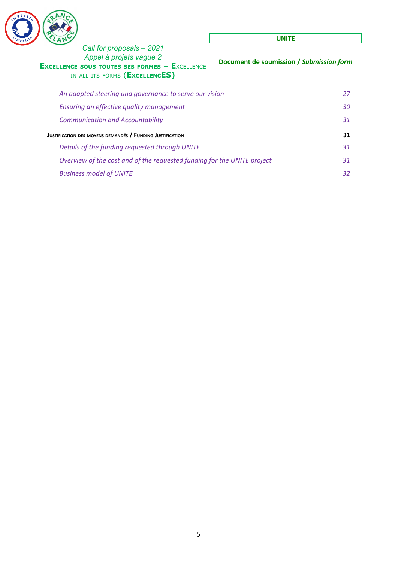

# *Call for proposals – 2021 Appel à projets vague 2*  $$ IN ALL ITS FORMS (**EXCELLENCES)**

#### **UNITE**

| Appel à projets vague 2<br>(CELLENCE SOUS TOUTES SES FORMES - EXCELLENCE<br>IN ALL ITS FORMS (EXCELLENCES) | Document de soumission / Submission form |
|------------------------------------------------------------------------------------------------------------|------------------------------------------|
| An adapted steering and governance to serve our vision                                                     | 27                                       |
| Ensuring an effective quality management                                                                   | 30                                       |
| <b>Communication and Accountability</b>                                                                    | 31                                       |
| Justification des moyens demandés / Funding Justification                                                  | 31                                       |
| Details of the funding requested through UNITE                                                             | 31                                       |
| Overview of the cost and of the requested funding for the UNITE project                                    | 31                                       |
| <b>Business model of UNITE</b>                                                                             | 32                                       |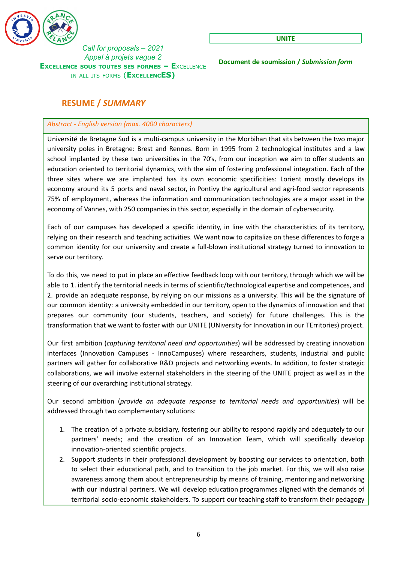

**UNITE**

**Document de soumission /** *Submission form*

# <span id="page-5-0"></span>**RESUME /** *SUMMARY*

### *Abstract - English version (max. 4000 characters)*

Université de Bretagne Sud is a multi-campus university in the Morbihan that sits between the two major university poles in Bretagne: Brest and Rennes. Born in 1995 from 2 technological institutes and a law school implanted by these two universities in the 70's, from our inception we aim to offer students an education oriented to territorial dynamics, with the aim of fostering professional integration. Each of the three sites where we are implanted has its own economic specificities: Lorient mostly develops its economy around its 5 ports and naval sector, in Pontivy the agricultural and agri-food sector represents 75% of employment, whereas the information and communication technologies are a major asset in the economy of Vannes, with 250 companies in this sector, especially in the domain of cybersecurity.

Each of our campuses has developed a specific identity, in line with the characteristics of its territory, relying on their research and teaching activities. We want now to capitalize on these differences to forge a common identity for our university and create a full-blown institutional strategy turned to innovation to serve our territory.

To do this, we need to put in place an effective feedback loop with our territory, through which we will be able to 1. identify the territorial needs in terms of scientific/technological expertise and competences, and 2. provide an adequate response, by relying on our missions as a university. This will be the signature of our common identity: a university embedded in our territory, open to the dynamics of innovation and that prepares our community (our students, teachers, and society) for future challenges. This is the transformation that we want to foster with our UNITE (UNiversity for Innovation in our TErritories) project.

Our first ambition (*capturing territorial need and opportunities*) will be addressed by creating innovation interfaces (Innovation Campuses - InnoCampuses) where researchers, students, industrial and public partners will gather for collaborative R&D projects and networking events. In addition, to foster strategic collaborations, we will involve external stakeholders in the steering of the UNITE project as well as in the steering of our overarching institutional strategy.

Our second ambition (*provide an adequate response to territorial needs and opportunities*) will be addressed through two complementary solutions:

- 1. The creation of a private subsidiary, fostering our ability to respond rapidly and adequately to our partners' needs; and the creation of an Innovation Team, which will specifically develop innovation-oriented scientific projects.
- 2. Support students in their professional development by boosting our services to orientation, both to select their educational path, and to transition to the job market. For this, we will also raise awareness among them about entrepreneurship by means of training, mentoring and networking with our industrial partners. We will develop education programmes aligned with the demands of territorial socio-economic stakeholders. To support our teaching staff to transform their pedagogy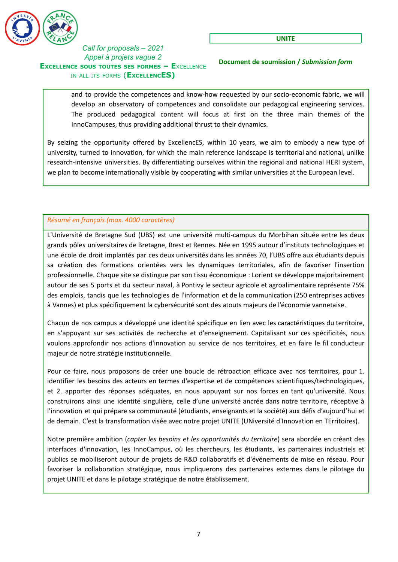

**Document de soumission /** *Submission form*

and to provide the competences and know-how requested by our socio-economic fabric, we will develop an observatory of competences and consolidate our pedagogical engineering services. The produced pedagogical content will focus at first on the three main themes of the InnoCampuses, thus providing additional thrust to their dynamics.

By seizing the opportunity offered by ExcellencES, within 10 years, we aim to embody a new type of university, turned to innovation, for which the main reference landscape is territorial and national, unlike research-intensive universities. By differentiating ourselves within the regional and national HERI system, we plan to become internationally visible by cooperating with similar universities at the European level.

# *Résumé en français (max. 4000 caractères)*

L'Université de Bretagne Sud (UBS) est une université multi-campus du Morbihan située entre les deux grands pôles universitaires de Bretagne, Brest et Rennes. Née en 1995 autour d'instituts technologiques et une école de droit implantés par ces deux universités dans les années 70, l'UBS offre aux étudiants depuis sa création des formations orientées vers les dynamiques territoriales, afin de favoriser l'insertion professionnelle. Chaque site se distingue par son tissu économique : Lorient se développe majoritairement autour de ses 5 ports et du secteur naval, à Pontivy le secteur agricole et agroalimentaire représente 75% des emplois, tandis que les technologies de l'information et de la communication (250 entreprises actives à Vannes) et plus spécifiquement la cybersécurité sont des atouts majeurs de l'économie vannetaise.

Chacun de nos campus a développé une identité spécifique en lien avec les caractéristiques du territoire, en s'appuyant sur ses activités de recherche et d'enseignement. Capitalisant sur ces spécificités, nous voulons approfondir nos actions d'innovation au service de nos territoires, et en faire le fil conducteur majeur de notre stratégie institutionnelle.

Pour ce faire, nous proposons de créer une boucle de rétroaction efficace avec nos territoires, pour 1. identifier les besoins des acteurs en termes d'expertise et de compétences scientifiques/technologiques, et 2. apporter des réponses adéquates, en nous appuyant sur nos forces en tant qu'université. Nous construirons ainsi une identité singulière, celle d'une université ancrée dans notre territoire, réceptive à l'innovation et qui prépare sa communauté (étudiants, enseignants et la société) aux défis d'aujourd'hui et de demain. C'est la transformation visée avec notre projet UNITE (UNiversité d'Innovation en TErritoires).

Notre première ambition (*capter les besoins et les opportunités du territoire*) sera abordée en créant des interfaces d'innovation, les InnoCampus, où les chercheurs, les étudiants, les partenaires industriels et publics se mobiliseront autour de projets de R&D collaboratifs et d'événements de mise en réseau. Pour favoriser la collaboration stratégique, nous impliquerons des partenaires externes dans le pilotage du projet UNITE et dans le pilotage stratégique de notre établissement.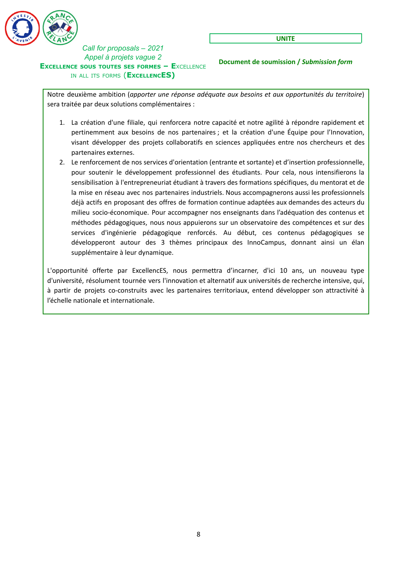

**UNITE**

**Document de soumission /** *Submission form*

Notre deuxième ambition (*apporter une réponse adéquate aux besoins et aux opportunités du territoire*) sera traitée par deux solutions complémentaires :

- 1. La création d'une filiale, qui renforcera notre capacité et notre agilité à répondre rapidement et pertinemment aux besoins de nos partenaires ; et la création d'une Équipe pour l'Innovation, visant développer des projets collaboratifs en sciences appliquées entre nos chercheurs et des partenaires externes.
- 2. Le renforcement de nos services d'orientation (entrante et sortante) et d'insertion professionnelle, pour soutenir le développement professionnel des étudiants. Pour cela, nous intensifierons la sensibilisation à l'entrepreneuriat étudiant à travers des formations spécifiques, du mentorat et de la mise en réseau avec nos partenaires industriels. Nous accompagnerons aussi les professionnels déjà actifs en proposant des offres de formation continue adaptées aux demandes des acteurs du milieu socio-économique. Pour accompagner nos enseignants dans l'adéquation des contenus et méthodes pédagogiques, nous nous appuierons sur un observatoire des compétences et sur des services d'ingénierie pédagogique renforcés. Au début, ces contenus pédagogiques se développeront autour des 3 thèmes principaux des InnoCampus, donnant ainsi un élan supplémentaire à leur dynamique.

L'opportunité offerte par ExcellencES, nous permettra d'incarner, d'ici 10 ans, un nouveau type d'université, résolument tournée vers l'innovation et alternatif aux universités de recherche intensive, qui, à partir de projets co-construits avec les partenaires territoriaux, entend développer son attractivité à l'échelle nationale et internationale.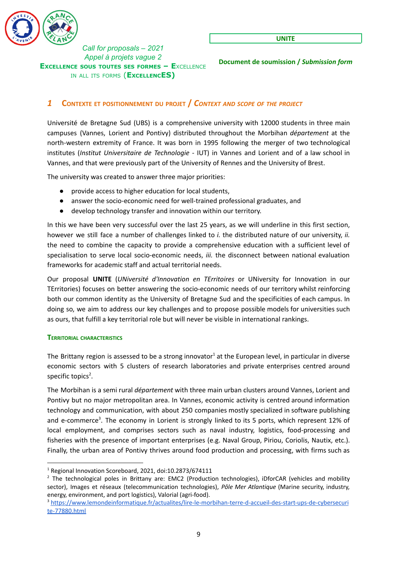

**Document de soumission /** *Submission form*

### <span id="page-8-0"></span>*1* **CONTEXTE ET POSITIONNEMENT DU PROJET /** *CONTEXT AND SCOPE OF THE PROJECT*

Université de Bretagne Sud (UBS) is a comprehensive university with 12000 students in three main campuses (Vannes, Lorient and Pontivy) distributed throughout the Morbihan *département* at the north-western extremity of France. It was born in 1995 following the merger of two technological institutes (*Institut Universitaire de Technologie* - IUT) in Vannes and Lorient and of a law school in Vannes, and that were previously part of the University of Rennes and the University of Brest.

The university was created to answer three major priorities:

- provide access to higher education for local students,
- answer the socio-economic need for well-trained professional graduates, and
- develop technology transfer and innovation within our territory.

In this we have been very successful over the last 25 years, as we will underline in this first section, however we still face a number of challenges linked to *i.* the distributed nature of our university, *ii.* the need to combine the capacity to provide a comprehensive education with a sufficient level of specialisation to serve local socio-economic needs, *iii.* the disconnect between national evaluation frameworks for academic staff and actual territorial needs.

Our proposal **UNITE** (*UNiversité d'Innovation en TErritoires* or UNiversity for Innovation in our TErritories) focuses on better answering the socio-economic needs of our territory whilst reinforcing both our common identity as the University of Bretagne Sud and the specificities of each campus. In doing so, we aim to address our key challenges and to propose possible models for universities such as ours, that fulfill a key territorial role but will never be visible in international rankings.

#### <span id="page-8-1"></span>**TERRITORIAL CHARACTERISTICS**

The Brittany region is assessed to be a strong innovator<sup>1</sup> at the European level, in particular in diverse economic sectors with 5 clusters of research laboratories and private enterprises centred around specific topics<sup>2</sup>.

The Morbihan is a semi rural *département* with three main urban clusters around Vannes, Lorient and Pontivy but no major metropolitan area. In Vannes, economic activity is centred around information technology and communication, with about 250 companies mostly specialized in software publishing and e-commerce<sup>3</sup>. The economy in Lorient is strongly linked to its 5 ports, which represent 12% of local employment, and comprises sectors such as naval industry, logistics, food-processing and fisheries with the presence of important enterprises (e.g. Naval Group, Piriou, Coriolis, Nautix, etc.). Finally, the urban area of Pontivy thrives around food production and processing, with firms such as

<sup>1</sup> Regional Innovation Scoreboard, 2021, doi:10.2873/674111

<sup>&</sup>lt;sup>2</sup> The technological poles in Brittany are: EMC2 (Production technologies), iDforCAR (vehicles and mobility sector), Images et réseaux (telecommunication technologies), *Pôle Mer Atlantique* (Marine security, industry, energy, environment, and port logistics), Valorial (agri-food).

<sup>3</sup> [https://www.lemondeinformatique.fr/actualites/lire-le-morbihan-terre-d-accueil-des-start-ups-de-cybersecuri](https://www.lemondeinformatique.fr/actualites/lire-le-morbihan-terre-d-accueil-des-start-ups-de-cybersecurite-77880.html) [te-77880.html](https://www.lemondeinformatique.fr/actualites/lire-le-morbihan-terre-d-accueil-des-start-ups-de-cybersecurite-77880.html)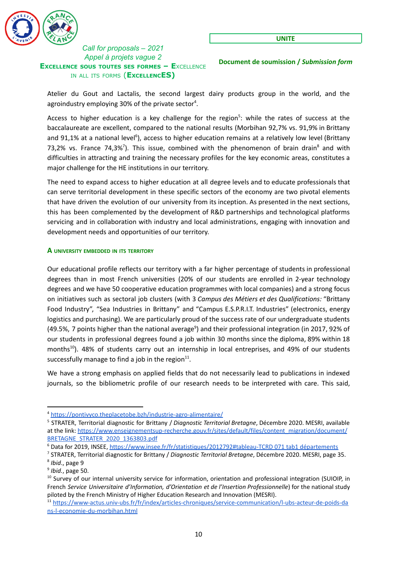

**Document de soumission /** *Submission form*

Atelier du Gout and Lactalis, the second largest dairy products group in the world, and the agroindustry employing 30% of the private sector<sup>4</sup>.

Access to higher education is a key challenge for the region<sup>5</sup>: while the rates of success at the baccalaureate are excellent, compared to the national results (Morbihan 92,7% vs. 91,9% in Brittany and 91,1% at a national level<sup>6</sup>), access to higher education remains at a relatively low level (Brittany 73,2% vs. France 74,3%<sup>7</sup>). This issue, combined with the phenomenon of brain drain<sup>8</sup> and with difficulties in attracting and training the necessary profiles for the key economic areas, constitutes a major challenge for the HE institutions in our territory.

The need to expand access to higher education at all degree levels and to educate professionals that can serve territorial development in these specific sectors of the economy are two pivotal elements that have driven the evolution of our university from its inception. As presented in the next sections, this has been complemented by the development of R&D partnerships and technological platforms servicing and in collaboration with industry and local administrations, engaging with innovation and development needs and opportunities of our territory.

### <span id="page-9-0"></span>**A UNIVERSITY EMBEDDED IN ITS TERRITORY**

Our educational profile reflects our territory with a far higher percentage of students in professional degrees than in most French universities (20% of our students are enrolled in 2-year technology degrees and we have 50 cooperative education programmes with local companies) and a strong focus on initiatives such as sectoral job clusters (with 3 *Campus des Métiers et des Qualifications:* "Brittany Food Industry", "Sea Industries in Brittany" and "Campus E.S.P.R.I.T. Industries" (electronics, energy logistics and purchasing). We are particularly proud of the success rate of our undergraduate students (49.5%, 7 points higher than the national average<sup>9</sup>) and their professional integration (in 2017, 92% of our students in professional degrees found a job within 30 months since the diploma, 89% within 18 months<sup>10</sup>). 48% of students carry out an internship in local entreprises, and 49% of our students successfully manage to find a job in the region $^{11}$ .

We have a strong emphasis on applied fields that do not necessarily lead to publications in indexed journals, so the bibliometric profile of our research needs to be interpreted with care. This said,

<sup>4</sup> <https://pontivyco.theplacetobe.bzh/industrie-agro-alimentaire/>

<sup>5</sup> STRATER, Territorial diagnostic for Brittany / *Diagnostic Territorial Bretagne*, Décembre 2020. MESRI, available at the link: [https://www.enseignementsup-recherche.gouv.fr/sites/default/files/content\\_migration/document/](https://www.enseignementsup-recherche.gouv.fr/sites/default/files/content_migration/document/BRETAGNE_STRATER_2020_1363803.pdf) [BRETAGNE\\_STRATER\\_2020\\_1363803.pdf](https://www.enseignementsup-recherche.gouv.fr/sites/default/files/content_migration/document/BRETAGNE_STRATER_2020_1363803.pdf)

<sup>6</sup> Data for 2019, INSEE, [https://www.insee.fr/fr/statistiques/2012792#tableau-TCRD](https://www.insee.fr/fr/statistiques/2012792#tableau-TCRD_071_tab1_departements) 071 tab1 départements

<sup>8</sup> *Ibid*., page 9 <sup>7</sup> STRATER, Territorial diagnostic for Brittany / *Diagnostic Territorial Bretagne*, Décembre 2020. MESRI, page 35.

<sup>9</sup> *Ibid.*, page 50.

<sup>&</sup>lt;sup>10</sup> Survey of our internal university service for information, orientation and professional integration (SUIOIP, in French *Service Universitaire d'Information, d'Orientation et de l'Insertion Professionnelle*) for the national study piloted by the French Ministry of Higher Education Research and Innovation (MESRI).

<sup>11</sup> [https://www-actus.univ-ubs.fr/fr/index/articles-chroniques/service-communication/l-ubs-acteur-de-poids-da](https://www-actus.univ-ubs.fr/fr/index/articles-chroniques/service-communication/l-ubs-acteur-de-poids-dans-l-economie-du-morbihan.html) [ns-l-economie-du-morbihan.html](https://www-actus.univ-ubs.fr/fr/index/articles-chroniques/service-communication/l-ubs-acteur-de-poids-dans-l-economie-du-morbihan.html)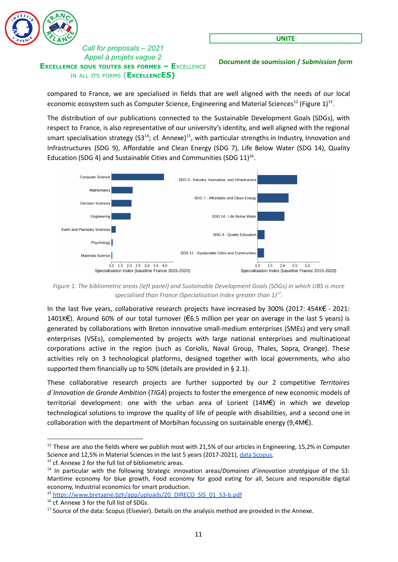

**Document de soumission /** *Submission form*

compared to France, we are specialised in fields that are well aligned with the needs of our local economic ecosystem such as Computer Science, Engineering and Material Sciences<sup>12</sup> (Figure 1)<sup>13</sup>.

The distribution of our publications connected to the Sustainable Development Goals (SDGs), with respect to France, is also representative of our university's identity, and well aligned with the regional smart specialisation strategy (S3<sup>14</sup>; cf. Annexe)<sup>15</sup>, with particular strengths in Industry, Innovation and Infrastructures (SDG 9), Affordable and Clean Energy (SDG 7), Life Below Water (SDG 14), Quality Education (SDG 4) and Sustainable Cities and Communities (SDG  $11$ )<sup>16</sup>.



Figure 1. The bibliometric areas (left panel) and Sustainable Development Goals (SDGs) in which UBS is more *specialised than France (Specialisation Index greater than 1) . 17*

In the last five years, collaborative research projects have increased by 300% (2017: 454K€ - 2021: 1401K€). Around 60% of our total turnover (€6.5 million per year on average in the last 5 years) is generated by collaborations with Breton innovative small-medium enterprises (SMEs) and very small enterprises (VSEs), complemented by projects with large national enterprises and multinational corporations active in the region (such as Coriolis, Naval Group, Thales, Sopra, Orange). These activities rely on 3 technological platforms, designed together with local governments, who also supported them financially up to 50% (details are provided in § 2.1).

These collaborative research projects are further supported by our 2 competitive *Territoires d´Innovation de Grande Ambition* (*TIGA*) projects to foster the emergence of new economic models of territorial development: one with the urban area of Lorient (14M€) in which we develop technological solutions to improve the quality of life of people with disabilities, and a second one in collaboration with the department of Morbihan focussing on sustainable energy  $(9,4M\epsilon)$ .

 $12$  These are also the fields where we publish most with 21,5% of our articles in Engineering, 15,2% in Computer Science and 12,5% in Material Sciences in the last 5 years (2017-2021), data [Scopus.](https://www.scopus.com/term/analyzer.uri?sid=140d36cecbe0249fe70e2bdecd4b08de&origin=resultslist&src=s&s=AF-ID%28%22Universite+de+Bretagne-Sud%22+60004130%29&sort=plf-f&sdt=cl&sot=a&sl=44&count=1022&analyzeResults=Analyze+results&cluster=scopubyr%2c%222021%22%2ct%2c%222020%22%2ct%2c%222019%22%2ct%2c%222018%22%2ct%2c%222017%22%2ct&txGid=b316284e0f05af8e4e353b261a5a8f57)

<sup>&</sup>lt;sup>13</sup> cf. Annexe 2 for the full list of bibliometric areas.

<sup>14</sup> In particular with the following Strategic innovation areas/*Domaines d'innovation stratégique* of the S3: Maritime economy for blue growth, Food economy for good eating for all, Secure and responsible digital economy, Industrial economics for smart production.

<sup>15</sup> [https://www.bretagne.bzh/app/uploads/20\\_DIRECO\\_SIS\\_01\\_S3-b.pdf](https://www.bretagne.bzh/app/uploads/20_DIRECO_SIS_01_S3-b.pdf)

<sup>&</sup>lt;sup>16</sup> cf. Annexe 3 for the full list of SDGs.

<sup>&</sup>lt;sup>17</sup> Source of the data: Scopus (Elsevier). Details on the analysis method are provided in the Annexe.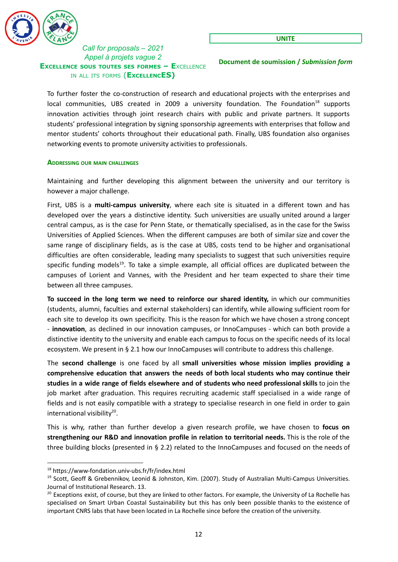

**UNITE**

**Document de soumission /** *Submission form*

To further foster the co-construction of research and educational projects with the enterprises and local communities, UBS created in 2009 a university foundation. The Foundation<sup>18</sup> supports innovation activities through joint research chairs with public and private partners. It supports students' professional integration by signing sponsorship agreements with enterprises that follow and mentor students' cohorts throughout their educational path. Finally, UBS foundation also organises networking events to promote university activities to professionals.

#### <span id="page-11-0"></span>**ADDRESSING OUR MAIN CHALLENGES**

Maintaining and further developing this alignment between the university and our territory is however a major challenge.

First, UBS is a **multi-campus university**, where each site is situated in a different town and has developed over the years a distinctive identity. Such universities are usually united around a larger central campus, as is the case for Penn State, or thematically specialised, as in the case for the Swiss Universities of Applied Sciences. When the different campuses are both of similar size and cover the same range of disciplinary fields, as is the case at UBS, costs tend to be higher and organisational difficulties are often considerable, leading many specialists to suggest that such universities require specific funding models<sup>19</sup>. To take a simple example, all official offices are duplicated between the campuses of Lorient and Vannes, with the President and her team expected to share their time between all three campuses.

**To succeed in the long term we need to reinforce our shared identity,** in which our communities (students, alumni, faculties and external stakeholders) can identify, while allowing sufficient room for each site to develop its own specificity. This is the reason for which we have chosen a strong concept - **innovation**, as declined in our innovation campuses, or InnoCampuses - which can both provide a distinctive identity to the university and enable each campus to focus on the specific needs of its local ecosystem. We present in § 2.1 how our InnoCampuses will contribute to address this challenge.

The **second challenge** is one faced by all **small universities whose mission implies providing a comprehensive education that answers the needs of both local students who may continue their studies in a wide range of fields elsewhere and of students who need professional skills** to join the job market after graduation. This requires recruiting academic staff specialised in a wide range of fields and is not easily compatible with a strategy to specialise research in one field in order to gain international visibility<sup>20</sup>.

This is why, rather than further develop a given research profile, we have chosen to **focus on strengthening our R&D and innovation profile in relation to territorial needs.** This is the role of the three building blocks (presented in § 2.2) related to the InnoCampuses and focused on the needs of

<sup>18</sup> <https://www-fondation.univ-ubs.fr/fr/index.html>

<sup>&</sup>lt;sup>19</sup> Scott, Geoff & Grebennikov, Leonid & Johnston, Kim. (2007). Study of Australian Multi-Campus Universities. Journal of Institutional Research. 13.

<sup>&</sup>lt;sup>20</sup> Exceptions exist, of course, but they are linked to other factors. For example, the University of La Rochelle has specialised on Smart Urban Coastal Sustainability but this has only been possible thanks to the existence of important CNRS labs that have been located in La Rochelle since before the creation of the university.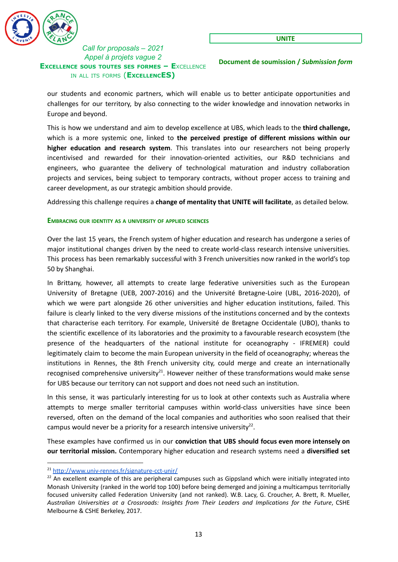

**Document de soumission /** *Submission form*

our students and economic partners, which will enable us to better anticipate opportunities and challenges for our territory, by also connecting to the wider knowledge and innovation networks in Europe and beyond.

This is how we understand and aim to develop excellence at UBS, which leads to the **third challenge,** which is a more systemic one, linked to **the perceived prestige of different missions within our higher education and research system**. This translates into our researchers not being properly incentivised and rewarded for their innovation-oriented activities, our R&D technicians and engineers, who guarantee the delivery of technological maturation and industry collaboration projects and services, being subject to temporary contracts, without proper access to training and career development, as our strategic ambition should provide.

Addressing this challenge requires a **change of mentality that UNITE will facilitate**, as detailed below.

#### <span id="page-12-0"></span>**EMBRACING OUR IDENTITY AS A UNIVERSITY OF APPLIED SCIENCES**

Over the last 15 years, the French system of higher education and research has undergone a series of major institutional changes driven by the need to create world-class research intensive universities. This process has been remarkably successful with 3 French universities now ranked in the world's top 50 by Shanghai.

In Brittany, however, all attempts to create large federative universities such as the European University of Bretagne (UEB, 2007-2016) and the Université Bretagne-Loire (UBL, 2016-2020), of which we were part alongside 26 other universities and higher education institutions, failed. This failure is clearly linked to the very diverse missions of the institutions concerned and by the contexts that characterise each territory. For example, Université de Bretagne Occidentale (UBO), thanks to the scientific excellence of its laboratories and the proximity to a favourable research ecosystem (the presence of the headquarters of the national institute for oceanography - IFREMER) could legitimately claim to become the main European university in the field of oceanography; whereas the institutions in Rennes, the 8th French university city, could merge and create an internationally recognised comprehensive university<sup>21</sup>. However neither of these transformations would make sense for UBS because our territory can not support and does not need such an institution.

In this sense, it was particularly interesting for us to look at other contexts such as Australia where attempts to merge smaller territorial campuses within world-class universities have since been reversed, often on the demand of the local companies and authorities who soon realised that their campus would never be a priority for a research intensive university<sup>22</sup>.

These examples have confirmed us in our **conviction that UBS should focus even more intensely on our territorial mission.** Contemporary higher education and research systems need a **diversified set**

<sup>21</sup> <http://www.univ-rennes.fr/signature-cct-unir/>

<sup>&</sup>lt;sup>22</sup> An excellent example of this are peripheral campuses such as Gippsland which were initially integrated into Monash University (ranked in the world top 100) before being demerged and joining a multicampus territorially focused university called Federation University (and not ranked). W.B. Lacy, G. Croucher, A. Brett, R. Mueller, *Australian Universities at a Crossroads: Insights from Their Leaders and Implications for the Future*, CSHE Melbourne & CSHE Berkeley, 2017.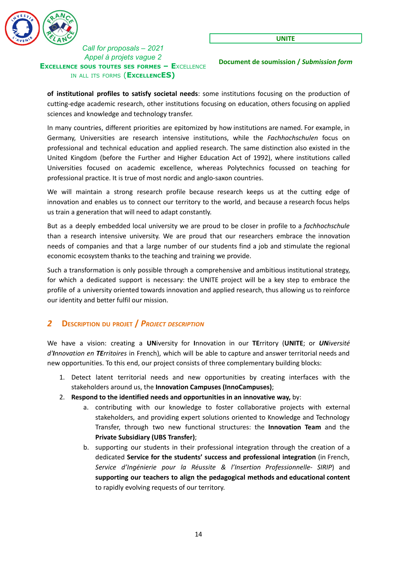

**Document de soumission /** *Submission form*

**of institutional profiles to satisfy societal needs**: some institutions focusing on the production of cutting-edge academic research, other institutions focusing on education, others focusing on applied sciences and knowledge and technology transfer.

In many countries, different priorities are epitomized by how institutions are named. For example, in Germany, Universities are research intensive institutions, while the *Fachhochschulen* focus on professional and technical education and applied research. The same distinction also existed in the United Kingdom (before the Further and Higher Education Act of 1992), where institutions called Universities focused on academic excellence, whereas Polytechnics focussed on teaching for professional practice. It is true of most nordic and anglo-saxon countries.

We will maintain a strong research profile because research keeps us at the cutting edge of innovation and enables us to connect our territory to the world, and because a research focus helps us train a generation that will need to adapt constantly.

But as a deeply embedded local university we are proud to be closer in profile to a *fachhochschule* than a research intensive university. We are proud that our researchers embrace the innovation needs of companies and that a large number of our students find a job and stimulate the regional economic ecosystem thanks to the teaching and training we provide.

Such a transformation is only possible through a comprehensive and ambitious institutional strategy, for which a dedicated support is necessary: the UNITE project will be a key step to embrace the profile of a university oriented towards innovation and applied research, thus allowing us to reinforce our identity and better fulfil our mission.

# <span id="page-13-0"></span>*2* **DESCRIPTION DU PROJET /** *PROJECT DESCRIPTION*

We have a vision: creating a **UN**iversity for **I**nnovation in our **TE**rritory (**UNITE**; or *UNiversité d'Innovation en TErritoires* in French), which will be able to capture and answer territorial needs and new opportunities. To this end, our project consists of three complementary building blocks:

- 1. Detect latent territorial needs and new opportunities by creating interfaces with the stakeholders around us, the **Innovation Campuses (InnoCampuses)**;
- 2. **Respond to the identified needs and opportunities in an innovative way,** by:
	- a. contributing with our knowledge to foster collaborative projects with external stakeholders, and providing expert solutions oriented to Knowledge and Technology Transfer, through two new functional structures: the **Innovation Team** and the **Private Subsidiary (UBS Transfer)**;
	- b. supporting our students in their professional integration through the creation of a dedicated **Service for the students' success and professional integration** (in French, *Service d'Ingénierie pour la Réussite & l'Insertion Professionnelle- SIRIP*) and **supporting our teachers to align the pedagogical methods and educational content** to rapidly evolving requests of our territory.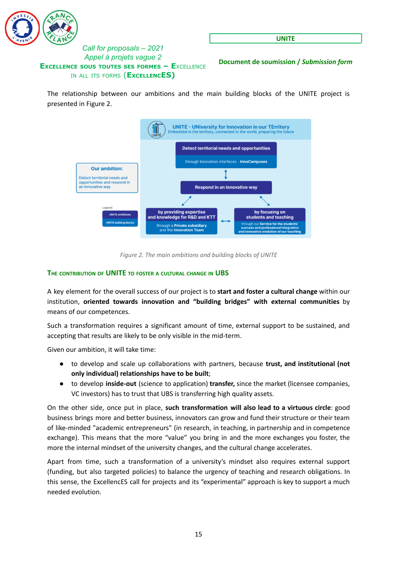

**UNITE**

**Document de soumission /** *Submission form*

The relationship between our ambitions and the main building blocks of the UNITE project is presented in Figure 2.



*Figure 2. The main ambitions and building blocks of UNITE*

### <span id="page-14-0"></span>**THE CONTRIBUTION OF UNITE TO FOSTER <sup>A</sup> CULTURAL CHANGE IN UBS**

A key element for the overall success of our project is to **start and foster a cultural change** within our institution, **oriented towards innovation and "building bridges" with external communities** by means of our competences.

Such a transformation requires a significant amount of time, external support to be sustained, and accepting that results are likely to be only visible in the mid-term.

Given our ambition, it will take time:

- to develop and scale up collaborations with partners, because **trust, and institutional (not only individual) relationships have to be built**;
- to develop **inside-out** (science to application) **transfer,** since the market (licensee companies, VC investors) has to trust that UBS is transferring high quality assets.

On the other side, once put in place, **such transformation will also lead to a virtuous circle**: good business brings more and better business, innovators can grow and fund their structure or their team of like-minded "academic entrepreneurs" (in research, in teaching, in partnership and in competence exchange). This means that the more "value" you bring in and the more exchanges you foster, the more the internal mindset of the university changes, and the cultural change accelerates.

Apart from time, such a transformation of a university's mindset also requires external support (funding, but also targeted policies) to balance the urgency of teaching and research obligations. In this sense, the ExcellencES call for projects and its "experimental" approach is key to support a much needed evolution.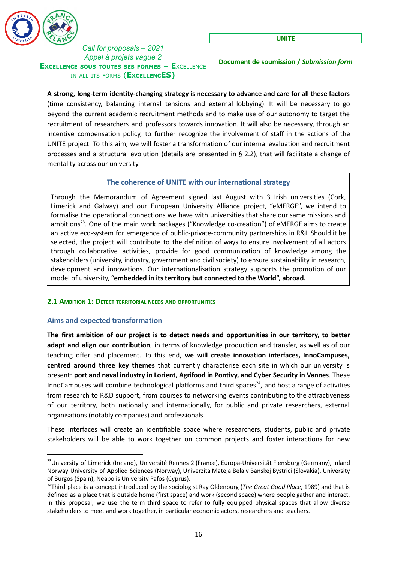

**Document de soumission /** *Submission form*

**A strong, long-term identity-changing strategy is necessary to advance and care for all these factors** (time consistency, balancing internal tensions and external lobbying). It will be necessary to go beyond the current academic recruitment methods and to make use of our autonomy to target the recruitment of researchers and professors towards innovation. It will also be necessary, through an incentive compensation policy, to further recognize the involvement of staff in the actions of the UNITE project. To this aim, we will foster a transformation of our internal evaluation and recruitment processes and a structural evolution (details are presented in § 2.2), that will facilitate a change of mentality across our university.

### **The coherence of UNITE with our international strategy**

<span id="page-15-0"></span>Through the Memorandum of Agreement signed last August with 3 Irish universities (Cork, Limerick and Galway) and our European University Alliance project, "eMERGE", we intend to formalise the operational connections we have with universities that share our same missions and ambitions<sup>23</sup>. One of the main work packages ("Knowledge co-creation") of eMERGE aims to create an active eco-system for emergence of public-private-community partnerships in R&I. Should it be selected, the project will contribute to the definition of ways to ensure involvement of all actors through collaborative activities, provide for good communication of knowledge among the stakeholders (university, industry, government and civil society) to ensure sustainability in research, development and innovations. Our internationalisation strategy supports the promotion of our model of university, **"embedded in its territory but connected to the World", abroad.**

#### <span id="page-15-1"></span>**2.1 AMBITION 1: DETECT TERRITORIAL NEEDS AND OPPORTUNITIES**

### <span id="page-15-2"></span>**Aims and expected transformation**

**The first ambition of our project is to detect needs and opportunities in our territory, to better adapt and align our contribution**, in terms of knowledge production and transfer, as well as of our teaching offer and placement. To this end, **we will create innovation interfaces, InnoCampuses, centred around three key themes** that currently characterise each site in which our university is present: **port and naval industry in Lorient, Agrifood in Pontivy, and Cyber Security in Vannes**. These InnoCampuses will combine technological platforms and third spaces<sup>24</sup>, and host a range of activities from research to R&D support, from courses to networking events contributing to the attractiveness of our territory, both nationally and internationally, for public and private researchers, external organisations (notably companies) and professionals.

These interfaces will create an identifiable space where researchers, students, public and private stakeholders will be able to work together on common projects and foster interactions for new

<sup>&</sup>lt;sup>23</sup>University of Limerick (Ireland), Université Rennes 2 (France), Europa-Universität Flensburg (Germany), Inland Norway University of Applied Sciences (Norway), Univerzita Mateja Bela v Banskej Bystrici (Slovakia), University of Burgos (Spain), Neapolis University Pafos (Cyprus).

<sup>24</sup>Third place is a concept introduced by the sociologist Ray Oldenburg (*The Great Good Place*, 1989) and that is defined as a place that is outside home (first space) and work (second space) where people gather and interact. In this proposal, we use the term third space to refer to fully equipped physical spaces that allow diverse stakeholders to meet and work together, in particular economic actors, researchers and teachers.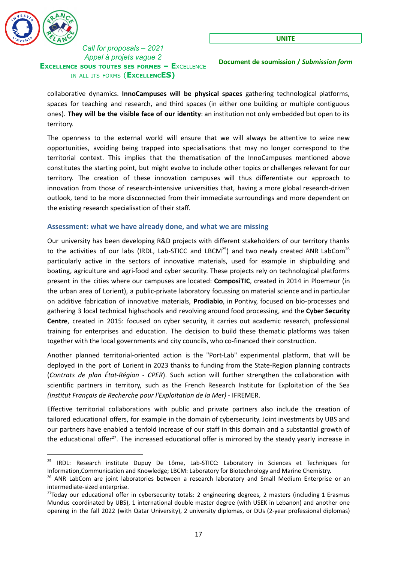

**Document de soumission /** *Submission form*

collaborative dynamics. **InnoCampuses will be physical spaces** gathering technological platforms, spaces for teaching and research, and third spaces (in either one building or multiple contiguous ones). **They will be the visible face of our identity**: an institution not only embedded but open to its territory.

The openness to the external world will ensure that we will always be attentive to seize new opportunities, avoiding being trapped into specialisations that may no longer correspond to the territorial context. This implies that the thematisation of the InnoCampuses mentioned above constitutes the starting point, but might evolve to include other topics or challenges relevant for our territory. The creation of these innovation campuses will thus differentiate our approach to innovation from those of research-intensive universities that, having a more global research-driven outlook, tend to be more disconnected from their immediate surroundings and more dependent on the existing research specialisation of their staff.

#### <span id="page-16-0"></span>**Assessment: what we have already done, and what we are missing**

Our university has been developing R&D projects with different stakeholders of our territory thanks to the activities of our labs (IRDL, Lab-STICC and LBCM<sup>25</sup>) and two newly created ANR LabCom<sup>26</sup> particularly active in the sectors of innovative materials, used for example in shipbuilding and boating, agriculture and agri-food and cyber security. These projects rely on technological platforms present in the cities where our campuses are located: **ComposiTIC**, created in 2014 in Ploemeur (in the urban area of Lorient), a public-private laboratory focussing on material science and in particular on additive fabrication of innovative materials, **Prodiabio**, in Pontivy, focused on bio-processes and gathering 3 local technical highschools and revolving around food processing, and the **Cyber Security Centre**, created in 2015: focused on cyber security, it carries out academic research, professional training for enterprises and education. The decision to build these thematic platforms was taken together with the local governments and city councils, who co-financed their construction.

Another planned territorial-oriented action is the "Port-Lab" experimental platform, that will be deployed in the port of Lorient in 2023 thanks to funding from the State-Region planning contracts (*Contrats de plan État-Région - CPER*). Such action will further strengthen the collaboration with scientific partners in territory, such as the French Research Institute for Exploitation of the Sea *(Institut Français de Recherche pour l'Exploitation de la Mer)* - IFREMER.

Effective territorial collaborations with public and private partners also include the creation of tailored educational offers, for example in the domain of cybersecurity. Joint investments by UBS and our partners have enabled a tenfold increase of our staff in this domain and a substantial growth of the educational offer<sup>27</sup>. The increased educational offer is mirrored by the steady yearly increase in

<sup>&</sup>lt;sup>25</sup> IRDL: Research institute Dupuy De Lôme, Lab-STICC: Laboratory in Sciences et Techniques for Information,Communication and Knowledge; LBCM: Laboratory for Biotechnology and Marine Chemistry.

<sup>&</sup>lt;sup>26</sup> ANR LabCom are joint laboratories between a research laboratory and Small Medium Enterprise or an intermediate-sized enterprise.

 $27$ Today our educational offer in cybersecurity totals: 2 engineering degrees, 2 masters (including 1 Erasmus Mundus coordinated by UBS), 1 international double master degree (with USEK in Lebanon) and another one opening in the fall 2022 (with Qatar University), 2 university diplomas, or DUs (2-year professional diplomas)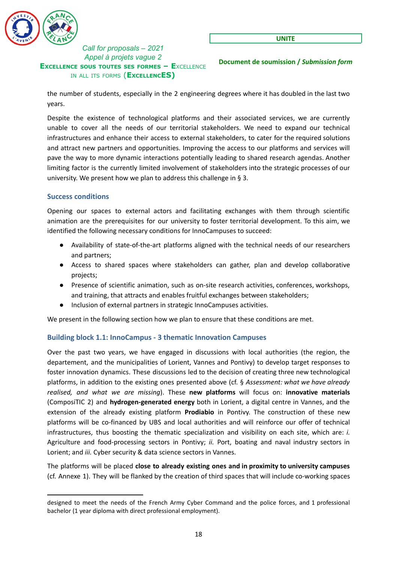

**UNITE**

**Document de soumission /** *Submission form*

the number of students, especially in the 2 engineering degrees where it has doubled in the last two years.

Despite the existence of technological platforms and their associated services, we are currently unable to cover all the needs of our territorial stakeholders. We need to expand our technical infrastructures and enhance their access to external stakeholders, to cater for the required solutions and attract new partners and opportunities. Improving the access to our platforms and services will pave the way to more dynamic interactions potentially leading to shared research agendas. Another limiting factor is the currently limited involvement of stakeholders into the strategic processes of our university. We present how we plan to address this challenge in § 3.

### <span id="page-17-0"></span>**Success conditions**

Opening our spaces to external actors and facilitating exchanges with them through scientific animation are the prerequisites for our university to foster territorial development. To this aim, we identified the following necessary conditions for InnoCampuses to succeed:

- Availability of state-of-the-art platforms aligned with the technical needs of our researchers and partners;
- Access to shared spaces where stakeholders can gather, plan and develop collaborative projects;
- Presence of scientific animation, such as on-site research activities, conferences, workshops, and training, that attracts and enables fruitful exchanges between stakeholders;
- Inclusion of external partners in strategic InnoCampuses activities.

We present in the following section how we plan to ensure that these conditions are met.

### <span id="page-17-1"></span>**Building block 1.1: InnoCampus - 3 thematic Innovation Campuses**

Over the past two years, we have engaged in discussions with local authorities (the region, the departement, and the municipalities of Lorient, Vannes and Pontivy) to develop target responses to foster innovation dynamics. These discussions led to the decision of creating three new technological platforms, in addition to the existing ones presented above (cf. § *Assessment: what we have already realised, and what we are missing*). These **new platforms** will focus on: **innovative materials** (ComposiTIC 2) and **hydrogen-generated energy** both in Lorient, a digital centre in Vannes, and the extension of the already existing platform **Prodiabio** in Pontivy. The construction of these new platforms will be co-financed by UBS and local authorities and will reinforce our offer of technical infrastructures, thus boosting the thematic specialization and visibility on each site, which are: *i.* Agriculture and food-processing sectors in Pontivy; *ii.* Port, boating and naval industry sectors in Lorient; and *iii.* Cyber security & data science sectors in Vannes.

The platforms will be placed **close to already existing ones and in proximity to university campuses** (cf. Annexe 1). They will be flanked by the creation of third spaces that will include co-working spaces

designed to meet the needs of the French Army Cyber Command and the police forces, and 1 professional bachelor (1 year diploma with direct professional employment).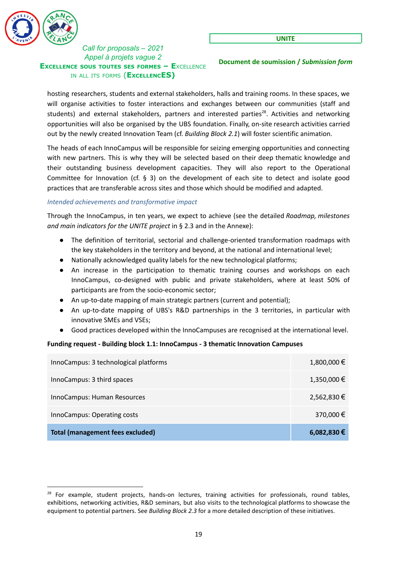

**Document de soumission /** *Submission form*

hosting researchers, students and external stakeholders, halls and training rooms. In these spaces, we will organise activities to foster interactions and exchanges between our communities (staff and students) and external stakeholders, partners and interested parties<sup>28</sup>. Activities and networking opportunities will also be organised by the UBS foundation. Finally, on-site research activities carried out by the newly created Innovation Team (cf. *Building Block 2.1*) will foster scientific animation.

The heads of each InnoCampus will be responsible for seizing emerging opportunities and connecting with new partners. This is why they will be selected based on their deep thematic knowledge and their outstanding business development capacities. They will also report to the Operational Committee for Innovation (cf.  $\S$  3) on the development of each site to detect and isolate good practices that are transferable across sites and those which should be modified and adapted.

#### <span id="page-18-0"></span>*Intended achievements and transformative impact*

Through the InnoCampus, in ten years, we expect to achieve (see the detailed *Roadmap, milestones and main indicators for the UNITE project* in § 2.3 and in the Annexe):

- The definition of territorial, sectorial and challenge-oriented transformation roadmaps with the key stakeholders in the territory and beyond, at the national and international level;
- Nationally acknowledged quality labels for the new technological platforms;
- An increase in the participation to thematic training courses and workshops on each InnoCampus, co-designed with public and private stakeholders, where at least 50% of participants are from the socio-economic sector;
- An up-to-date mapping of main strategic partners (current and potential);
- An up-to-date mapping of UBS's R&D partnerships in the 3 territories, in particular with innovative SMEs and VSEs;
- Good practices developed within the InnoCampuses are recognised at the international level.

### **Funding request - Building block 1.1: InnoCampus - 3 thematic Innovation Campuses**

| InnoCampus: 3 technological platforms   | $1,800,000 \in$ |
|-----------------------------------------|-----------------|
| InnoCampus: 3 third spaces              | 1,350,000 €     |
| InnoCampus: Human Resources             | 2,562,830 €     |
| InnoCampus: Operating costs             | 370,000 €       |
| <b>Total (management fees excluded)</b> | $6,082,830$ €   |

<sup>&</sup>lt;sup>28</sup> For example, student projects, hands-on lectures, training activities for professionals, round tables, exhibitions, networking activities, R&D seminars, but also visits to the technological platforms to showcase the equipment to potential partners. See *Building Block 2.3* for a more detailed description of these initiatives.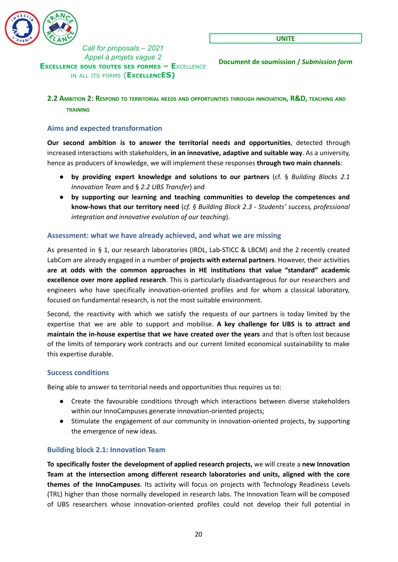

**Document de soumission /** *Submission form*

### <span id="page-19-0"></span>**2.2 AMBITION 2: RESPOND TO TERRITORIAL NEEDS AND OPPORTUNITIES THROUGH INNOVATION, R&D, TEACHING AND TRAINING**

### <span id="page-19-1"></span>**Aims and expected transformation**

**Our second ambition is to answer the territorial needs and opportunities**, detected through increased interactions with stakeholders, **in an innovative, adaptive and suitable way**. As a university, hence as producers of knowledge, we will implement these responses **through two main channels**:

- **by providing expert knowledge and solutions to our partners** (cf. § *Building Blocks 2.1 Innovation Team* and § *2.2 UBS Transfer*) and
- **by supporting our learning and teaching communities to develop the competences and know-hows that our territory need** (*cf. § Building Block 2.3 - Students' success, professional integration and innovative evolution of our teaching*).

### <span id="page-19-2"></span>**Assessment: what we have already achieved, and what we are missing**

As presented in § 1, our research laboratories (IRDL, Lab-STICC & LBCM) and the 2 recently created LabCom are already engaged in a number of **projects with external partners**. However, their activities **are at odds with the common approaches in HE institutions that value "standard" academic excellence over more applied research**. This is particularly disadvantageous for our researchers and engineers who have specifically innovation-oriented profiles and for whom a classical laboratory, focused on fundamental research, is not the most suitable environment.

Second, the reactivity with which we satisfy the requests of our partners is today limited by the expertise that we are able to support and mobilise. **A key challenge for UBS is to attract and maintain the in-house expertise that we have created over the years** and that is often lost because of the limits of temporary work contracts and our current limited economical sustainability to make this expertise durable.

#### <span id="page-19-3"></span>**Success conditions**

Being able to answer to territorial needs and opportunities thus requires us to:

- Create the favourable conditions through which interactions between diverse stakeholders within our InnoCampuses generate innovation-oriented projects;
- Stimulate the engagement of our community in innovation-oriented projects, by supporting the emergence of new ideas.

#### <span id="page-19-4"></span>**Building block 2.1: Innovation Team**

**To specifically foster the development of applied research projects,** we will create a **new Innovation Team at the intersection among different research laboratories and units, aligned with the core themes of the InnoCampuses**. Its activity will focus on projects with Technology Readiness Levels (TRL) higher than those normally developed in research labs. The Innovation Team will be composed of UBS researchers whose innovation-oriented profiles could not develop their full potential in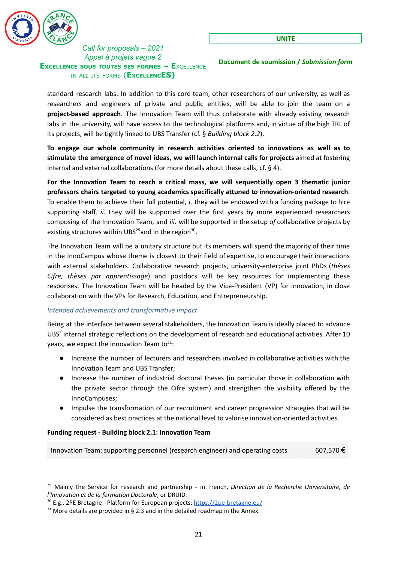

**Document de soumission /** *Submission form*

standard research labs. In addition to this core team, other researchers of our university, as well as researchers and engineers of private and public entities, will be able to join the team on a **project-based approach**. The Innovation Team will thus collaborate with already existing research labs in the university, will have access to the technological platforms and, in virtue of the high TRL of its projects, will be tightly linked to UBS Transfer (cf. § *Building block 2.2*).

**To engage our whole community in research activities oriented to innovations as well as to stimulate the emergence of novel ideas, we will launch internal calls for projects** aimed at fostering internal and external collaborations (for more details about these calls, cf. § 4).

**For the Innovation Team to reach a critical mass, we will sequentially open 3 thematic junior professors chairs targeted to young academics specifically attuned to innovation-oriented research**. To enable them to achieve their full potential, *i.* they will be endowed with a funding package to hire supporting staff, *ii.* they will be supported over the first years by more experienced researchers composing of the Innovation Team, and *iii.* will be supported in the setup o*f* collaborative projects by existing structures within UBS<sup>29</sup>and in the region<sup>30</sup>.

The Innovation Team will be a unitary structure but its members will spend the majority of their time in the InnoCampus whose theme is closest to their field of expertise, to encourage their interactions with external stakeholders. Collaborative research projects, university-enterprise joint PhDs (*thèses Cifre, thèses par apprentissage*) and postdocs will be key resources for implementing these responses. The Innovation Team will be headed by the Vice-President (VP) for innovation, in close collaboration with the VPs for Research, Education, and Entrepreneurship.

### <span id="page-20-0"></span>*Intended achievements and transformative impact*

Being at the interface between several stakeholders, the Innovation Team is ideally placed to advance UBS' internal strategic reflections on the development of research and educational activities. After 10 years, we expect the Innovation Team to<sup>31</sup>:

- Increase the number of lecturers and researchers involved in collaborative activities with the Innovation Team and UBS Transfer;
- Increase the number of industrial doctoral theses (in particular those in collaboration with the private sector through the Cifre system) and strengthen the visibility offered by the InnoCampuses;
- Impulse the transformation of our recruitment and career progression strategies that will be considered as best practices at the national level to valorise innovation-oriented activities.

#### **Funding request - Building block 2.1: Innovation Team**

Innovation Team: supporting personnel (research engineer) and operating costs 607,570  $\epsilon$ 

<sup>29</sup> Mainly the Service for research and partnership - in French, *Direction de la Recherche Universitaire, de l'Innovation et de la formation Doctorale*, or DRUID.

<sup>&</sup>lt;sup>30</sup> E.g., 2PE Bretagne - Platform for European projects: <https://2pe-bretagne.eu/>

 $31$  More details are provided in § 2.3 and in the detailed roadmap in the Annex.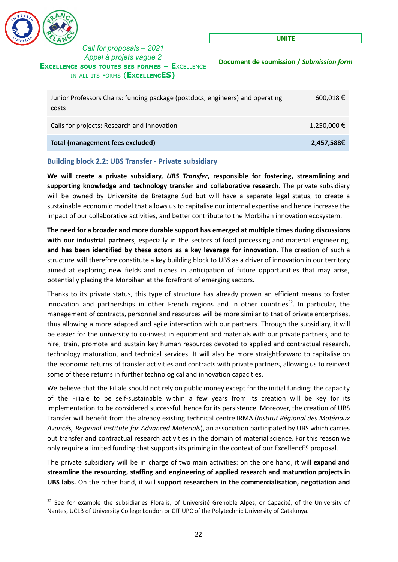

**UNITE**

**Document de soumission /** *Submission form*

| Junior Professors Chairs: funding package (postdocs, engineers) and operating<br>costs | 600,018 €   |
|----------------------------------------------------------------------------------------|-------------|
| Calls for projects: Research and Innovation                                            | 1,250,000 € |
| <b>Total (management fees excluded)</b>                                                | 2,457,588€  |

### <span id="page-21-0"></span>**Building block 2.2: UBS Transfer - Private subsidiary**

**We will create a private subsidiary,** *UBS Transfer***, responsible for fostering, streamlining and supporting knowledge and technology transfer and collaborative research**. The private subsidiary will be owned by Université de Bretagne Sud but will have a separate legal status, to create a sustainable economic model that allows us to capitalise our internal expertise and hence increase the impact of our collaborative activities, and better contribute to the Morbihan innovation ecosystem.

**The need for a broader and more durable support has emerged at multiple times during discussions with our industrial partners**, especially in the sectors of food processing and material engineering, **and has been identified by these actors as a key leverage for innovation**. The creation of such a structure will therefore constitute a key building block to UBS as a driver of innovation in our territory aimed at exploring new fields and niches in anticipation of future opportunities that may arise, potentially placing the Morbihan at the forefront of emerging sectors.

Thanks to its private status, this type of structure has already proven an efficient means to foster innovation and partnerships in other French regions and in other countries<sup>32</sup>. In particular, the management of contracts, personnel and resources will be more similar to that of private enterprises, thus allowing a more adapted and agile interaction with our partners. Through the subsidiary, it will be easier for the university to co-invest in equipment and materials with our private partners, and to hire, train, promote and sustain key human resources devoted to applied and contractual research, technology maturation, and technical services. It will also be more straightforward to capitalise on the economic returns of transfer activities and contracts with private partners, allowing us to reinvest some of these returns in further technological and innovation capacities.

We believe that the Filiale should not rely on public money except for the initial funding: the capacity of the Filiale to be self-sustainable within a few years from its creation will be key for its implementation to be considered successful, hence for its persistence. Moreover, the creation of UBS Transfer will benefit from the already existing technical centre IRMA (*Institut Régional des Matériaux Avancés, Regional Institute for Advanced Materials*), an association participated by UBS which carries out transfer and contractual research activities in the domain of material science. For this reason we only require a limited funding that supports its priming in the context of our ExcellencES proposal.

The private subsidiary will be in charge of two main activities: on the one hand, it will **expand and streamline the resourcing, staffing and engineering of applied research and maturation projects in UBS labs.** On the other hand, it will **support researchers in the commercialisation, negotiation and**

<sup>&</sup>lt;sup>32</sup> See for example the subsidiaries Floralis, of Université Grenoble Alpes, or Capacité, of the University of Nantes, UCLB of University College London or CIT UPC of the Polytechnic University of Catalunya.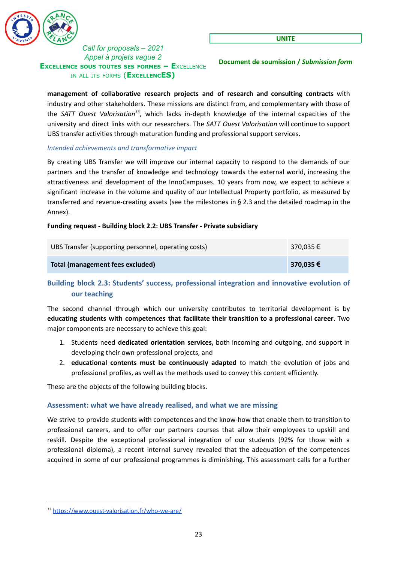

**Document de soumission /** *Submission form*

**management of collaborative research projects and of research and consulting contracts** with industry and other stakeholders. These missions are distinct from, and complementary with those of the SATT Ouest Valorisation<sup>33</sup>, which lacks in-depth knowledge of the internal capacities of the university and direct links with our researchers. The *SATT Ouest Valorisation* will continue to support UBS transfer activities through maturation funding and professional support services.

### <span id="page-22-0"></span>*Intended achievements and transformative impact*

By creating UBS Transfer we will improve our internal capacity to respond to the demands of our partners and the transfer of knowledge and technology towards the external world, increasing the attractiveness and development of the InnoCampuses. 10 years from now, we expect to achieve a significant increase in the volume and quality of our Intellectual Property portfolio, as measured by transferred and revenue-creating assets (see the milestones in § 2.3 and the detailed roadmap in the Annex).

#### **Funding request - Building block 2.2: UBS Transfer - Private subsidiary**

| UBS Transfer (supporting personnel, operating costs) | 370,035 € |
|------------------------------------------------------|-----------|
| Total (management fees excluded)                     | 370,035 € |

# <span id="page-22-1"></span>**Building block 2.3: Students' success, professional integration and innovative evolution of our teaching**

The second channel through which our university contributes to territorial development is by **educating students with competences that facilitate their transition to a professional career**. Two major components are necessary to achieve this goal:

- 1. Students need **dedicated orientation services,** both incoming and outgoing, and support in developing their own professional projects, and
- 2. **educational contents must be continuously adapted** to match the evolution of jobs and professional profiles, as well as the methods used to convey this content efficiently.

These are the objects of the following building blocks.

### <span id="page-22-2"></span>**Assessment: what we have already realised, and what we are missing**

We strive to provide students with competences and the know-how that enable them to transition to professional careers, and to offer our partners courses that allow their employees to upskill and reskill. Despite the exceptional professional integration of our students (92% for those with a professional diploma), a recent internal survey revealed that the adequation of the competences acquired in some of our professional programmes is diminishing. This assessment calls for a further

<sup>33</sup> <https://www.ouest-valorisation.fr/who-we-are/>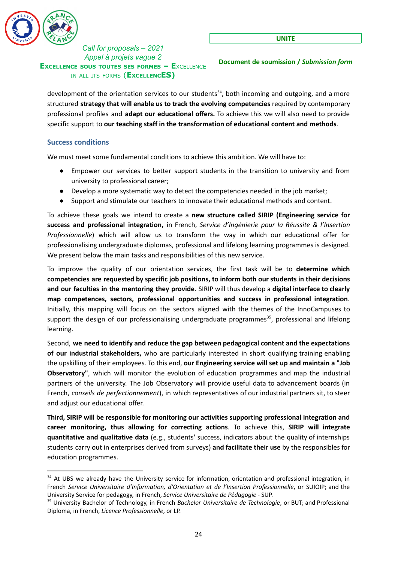

**Document de soumission /** *Submission form*

development of the orientation services to our students<sup>34</sup>, both incoming and outgoing, and a more structured **strategy that will enable us to track the evolving competencies** required by contemporary professional profiles and **adapt our educational offers.** To achieve this we will also need to provide specific support to **our teaching staff in the transformation of educational content and methods**.

### <span id="page-23-0"></span>**Success conditions**

We must meet some fundamental conditions to achieve this ambition. We will have to:

- Empower our services to better support students in the transition to university and from university to professional career;
- Develop a more systematic way to detect the competencies needed in the job market;
- Support and stimulate our teachers to innovate their educational methods and content.

To achieve these goals we intend to create a **new structure called SIRIP (Engineering service for success and professional integration,** in French, *Service d'Ingénierie pour la Réussite & l'Insertion Professionnelle*) which will allow us to transform the way in which our educational offer for professionalising undergraduate diplomas, professional and lifelong learning programmes is designed. We present below the main tasks and responsibilities of this new service.

To improve the quality of our orientation services, the first task will be to **determine which competencies are requested by specific job positions, to inform both our students in their decisions and our faculties in the mentoring they provide**. SIRIP will thus develop a **digital interface to clearly map competences, sectors, professional opportunities and success in professional integration**. Initially, this mapping will focus on the sectors aligned with the themes of the InnoCampuses to support the design of our professionalising undergraduate programmes<sup>35</sup>, professional and lifelong learning.

Second, **we need to identify and reduce the gap between pedagogical content and the expectations of our industrial stakeholders,** who are particularly interested in short qualifying training enabling the upskilling of their employees. To this end, **our Engineering service will set up and maintain a "Job Observatory"**, which will monitor the evolution of education programmes and map the industrial partners of the university. The Job Observatory will provide useful data to advancement boards (in French, *conseils de perfectionnement*), in which representatives of our industrial partners sit, to steer and adjust our educational offer.

**Third, SIRIP will be responsible for monitoring our activities supporting professional integration and career monitoring, thus allowing for correcting actions**. To achieve this, **SIRIP will integrate quantitative and qualitative data** (e.g., students' success, indicators about the quality of internships students carry out in enterprises derived from surveys) **and facilitate their use** by the responsibles for education programmes.

<sup>&</sup>lt;sup>34</sup> At UBS we already have the University service for information, orientation and professional integration, in French *Service Universitaire d'Information, d'Orientation et de l'Insertion Professionnelle*, or SUIOIP; and the University Service for pedagogy, in French, *Service Universitaire de Pédagogie* - SUP.

<sup>35</sup> University Bachelor of Technology, in French *Bachelor Universitaire de Technologie*, or BUT; and Professional Diploma, in French, *Licence Professionnelle*, or LP.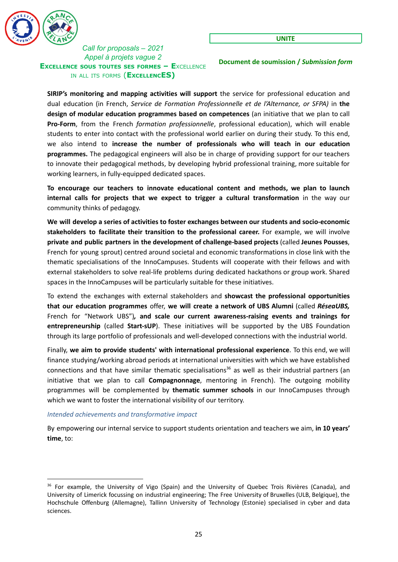

**Document de soumission /** *Submission form*

**SIRIP's monitoring and mapping activities will support** the service for professional education and dual education (in French, *Service de Formation Professionnelle et de l'Alternance, or SFPA)* in **the design of modular education programmes based on competences** (an initiative that we plan to call **Pro-Form**, from the French *formation professionnelle*, professional education), which will enable students to enter into contact with the professional world earlier on during their study. To this end, we also intend to **increase the number of professionals who will teach in our education programmes.** The pedagogical engineers will also be in charge of providing support for our teachers to innovate their pedagogical methods, by developing hybrid professional training, more suitable for working learners, in fully-equipped dedicated spaces.

**To encourage our teachers to innovate educational content and methods, we plan to launch internal calls for projects that we expect to trigger a cultural transformation** in the way our community thinks of pedagogy.

**We will develop a series of activities to foster exchanges between our students and socio-economic stakeholders to facilitate their transition to the professional career.** For example, we will involve **private and public partners in the development of challenge-based projects** (called **Jeunes Pousses**, French for young sprout) centred around societal and economic transformations in close link with the thematic specialisations of the InnoCampuses. Students will cooperate with their fellows and with external stakeholders to solve real-life problems during dedicated hackathons or group work. Shared spaces in the InnoCampuses will be particularly suitable for these initiatives.

To extend the exchanges with external stakeholders and **showcast the professional opportunities that our education programmes** offer, **we will create a network of UBS Alumni** (called *RéseaUBS,* French for "Network UBS")*,* **and scale our current awareness-raising events and trainings for entrepreneurship** (called **Start-sUP**). These initiatives will be supported by the UBS Foundation through its large portfolio of professionals and well-developed connections with the industrial world.

Finally, **we aim to provide students' with international professional experience**. To this end, we will finance studying/working abroad periods at international universities with which we have established connections and that have similar thematic specialisations<sup>36</sup> as well as their industrial partners (an initiative that we plan to call **Compagnonnage**, mentoring in French). The outgoing mobility programmes will be complemented by **thematic summer schools** in our InnoCampuses through which we want to foster the international visibility of our territory.

#### <span id="page-24-0"></span>*Intended achievements and transformative impact*

By empowering our internal service to support students orientation and teachers we aim, **in 10 years' time**, to:

<sup>&</sup>lt;sup>36</sup> For example, the University of Vigo (Spain) and the University of Quebec Trois Rivières (Canada), and University of Limerick focussing on industrial engineering; The Free University of Bruxelles (ULB, Belgique), the Hochschule Offenburg (Allemagne), Tallinn University of Technology (Estonie) specialised in cyber and data sciences.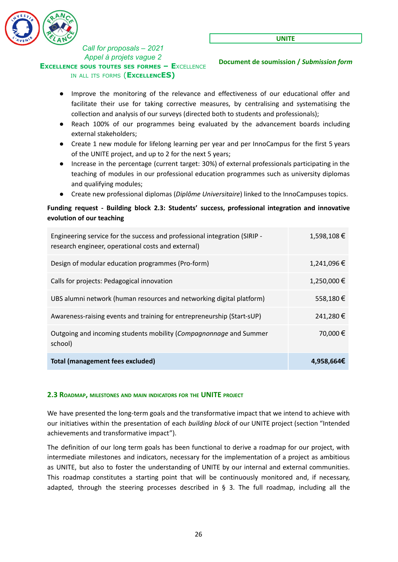

**Document de soumission /** *Submission form*

- Improve the monitoring of the relevance and effectiveness of our educational offer and facilitate their use for taking corrective measures, by centralising and systematising the collection and analysis of our surveys (directed both to students and professionals);
- Reach 100% of our programmes being evaluated by the advancement boards including external stakeholders;
- Create 1 new module for lifelong learning per year and per InnoCampus for the first 5 years of the UNITE project, and up to 2 for the next 5 years;
- Increase in the percentage (current target: 30%) of external professionals participating in the teaching of modules in our professional education programmes such as university diplomas and qualifying modules;
- Create new professional diplomas (*Diplôme Universitaire*) linked to the InnoCampuses topics.

### **Funding request - Building block 2.3: Students' success, professional integration and innovative evolution of our teaching**

| Engineering service for the success and professional integration (SIRIP -<br>research engineer, operational costs and external) | 1,598,108€  |
|---------------------------------------------------------------------------------------------------------------------------------|-------------|
| Design of modular education programmes (Pro-form)                                                                               | 1,241,096€  |
| Calls for projects: Pedagogical innovation                                                                                      | 1,250,000 € |
| UBS alumni network (human resources and networking digital platform)                                                            | 558,180€    |
| Awareness-raising events and training for entrepreneurship (Start-sUP)                                                          | 241,280€    |
| Outgoing and incoming students mobility (Compagnonnage and Summer<br>school)                                                    | 70,000€     |
| <b>Total (management fees excluded)</b>                                                                                         | 4,958,664€  |

### <span id="page-25-0"></span>**2.3 ROADMAP, MILESTONES AND MAIN INDICATORS FOR THE UNITE PROJECT**

We have presented the long-term goals and the transformative impact that we intend to achieve with our initiatives within the presentation of each *building block* of our UNITE project (section "Intended achievements and transformative impact").

The definition of our long term goals has been functional to derive a roadmap for our project, with intermediate milestones and indicators, necessary for the implementation of a project as ambitious as UNITE, but also to foster the understanding of UNITE by our internal and external communities. This roadmap constitutes a starting point that will be continuously monitored and, if necessary, adapted, through the steering processes described in  $\S$  3. The full roadmap, including all the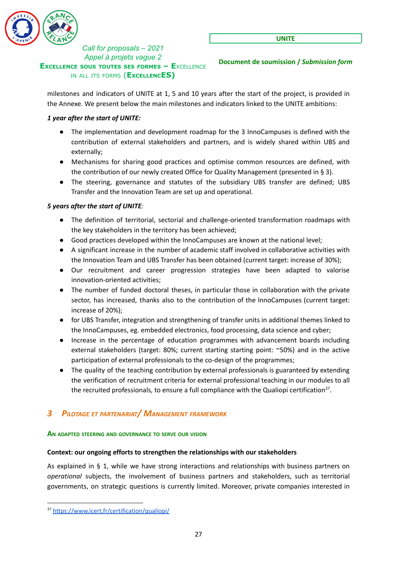

**Document de soumission /** *Submission form*

milestones and indicators of UNITE at 1, 5 and 10 years after the start of the project, is provided in the Annexe. We present below the main milestones and indicators linked to the UNITE ambitions:

### *1 year after the start of UNITE:*

- The implementation and development roadmap for the 3 InnoCampuses is defined with the contribution of external stakeholders and partners, and is widely shared within UBS and externally;
- Mechanisms for sharing good practices and optimise common resources are defined, with the contribution of our newly created Office for Quality Management (presented in § 3).
- The steering, governance and statutes of the subsidiary UBS transfer are defined; UBS Transfer and the Innovation Team are set up and operational.

# *5 years after the start of UNITE:*

- The definition of territorial, sectorial and challenge-oriented transformation roadmaps with the key stakeholders in the territory has been achieved;
- Good practices developed within the InnoCampuses are known at the national level:
- A significant increase in the number of academic staff involved in collaborative activities with the Innovation Team and UBS Transfer has been obtained (current target: increase of 30%);
- Our recruitment and career progression strategies have been adapted to valorise innovation-oriented activities;
- The number of funded doctoral theses, in particular those in collaboration with the private sector, has increased, thanks also to the contribution of the InnoCampuses (current target: increase of 20%);
- for UBS Transfer, integration and strengthening of transfer units in additional themes linked to the InnoCampuses, eg. embedded electronics, food processing, data science and cyber;
- Increase in the percentage of education programmes with advancement boards including external stakeholders (target: 80%; current starting starting point: ~50%) and in the active participation of external professionals to the co-design of the programmes;
- The quality of the teaching contribution by external professionals is guaranteed by extending the verification of recruitment criteria for external professional teaching in our modules to all the recruited professionals, to ensure a full compliance with the Qualiopi certification<sup>37</sup>.

# <span id="page-26-0"></span>*3 PILOTAGE ET PARTENARIAT/ MANAGEMENT FRAMEWORK*

### <span id="page-26-1"></span>**AN ADAPTED STEERING AND GOVERNANCE TO SERVE OUR VISION**

### **Context: our ongoing efforts to strengthen the relationships with our stakeholders**

As explained in § 1, while we have strong interactions and relationships with business partners on *operational* subjects, the involvement of business partners and stakeholders, such as territorial governments, on strategic questions is currently limited. Moreover, private companies interested in

<sup>37</sup> <https://www.icert.fr/certification/qualiopi/>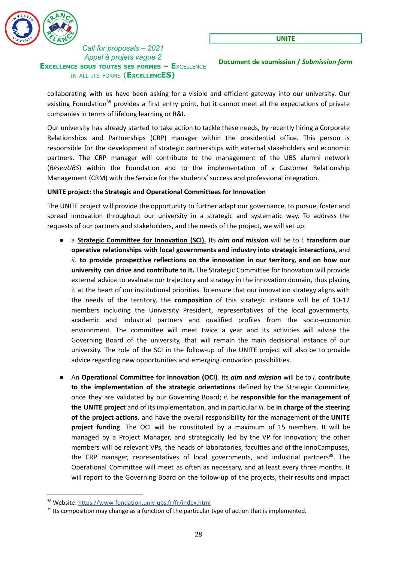

**Document de soumission /** *Submission form*

collaborating with us have been asking for a visible and efficient gateway into our university. Our existing Foundation<sup>38</sup> provides a first entry point, but it cannot meet all the expectations of private companies in terms of lifelong learning or R&I.

Our university has already started to take action to tackle these needs, by recently hiring a Corporate Relationships and Partnerships (CRP) manager within the presidential office. This person is responsible for the development of strategic partnerships with external stakeholders and economic partners. The CRP manager will contribute to the management of the UBS alumni network (*RéseaUBS*) within the Foundation and to the implementation of a Customer Relationship Management (CRM) with the Service for the students' success and professional integration.

#### **UNITE project: the Strategic and Operational Committees for Innovation**

The UNITE project will provide the opportunity to further adapt our governance, to pursue, foster and spread innovation throughout our university in a strategic and systematic way. To address the requests of our partners and stakeholders, and the needs of the project, we will set up:

- a **Strategic Committee for Innovation (SCI).** Its *aim and mission* will be to *i.* **transform our operative relationships with local governments and industry into strategic interactions,** and *ii.* **to provide prospective reflections on the innovation in our territory, and on how our university can drive and contribute to it.** The Strategic Committee for Innovation will provide external advice to evaluate our trajectory and strategy in the innovation domain, thus placing it at the heart of our institutional priorities. To ensure that our innovation strategy aligns with the needs of the territory, the **composition** of this strategic instance will be of 10-12 members including the University President, representatives of the local governments, academic and industrial partners and qualified profiles from the socio-economic environment. The committee will meet twice a year and its activities will advise the Governing Board of the university, that will remain the main decisional instance of our university. The role of the SCI in the follow-up of the UNITE project will also be to provide advice regarding new opportunities and emerging innovation possibilities.
- An **Operational Committee for Innovation (OCI)**. Its *aim and mission* will be to *i.* **contribute to the implementation of the strategic orientations** defined by the Strategic Committee, once they are validated by our Governing Board; *ii.* be **responsible for the management of the UNITE project** and of its implementation, and in particular *iii.* be **in charge of the steering of the project actions**, and have the overall responsibility for the management of the **UNITE project funding**. The OCI will be constituted by a maximum of 15 members. It will be managed by a Project Manager, and strategically led by the VP for Innovation; the other members will be relevant VPs, the heads of laboratories, faculties and of the InnoCampuses, the CRP manager, representatives of local governments, and industrial partners<sup>39</sup>. The Operational Committee will meet as often as necessary, and at least every three months. It will report to the Governing Board on the follow-up of the projects, their results and impact

<sup>38</sup> Website: <https://www-fondation.univ-ubs.fr/fr/index.html>

<sup>&</sup>lt;sup>39</sup> Its composition may change as a function of the particular type of action that is implemented.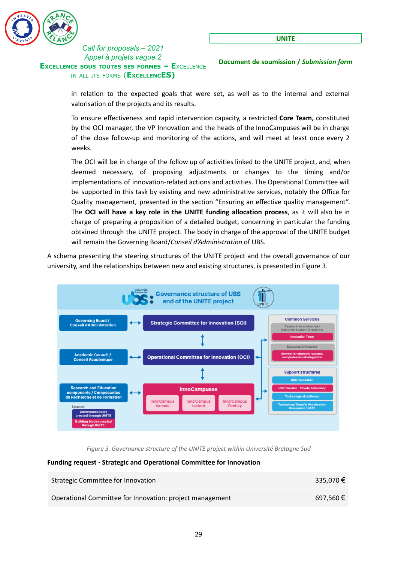

**Document de soumission /** *Submission form*

in relation to the expected goals that were set, as well as to the internal and external valorisation of the projects and its results.

To ensure effectiveness and rapid intervention capacity, a restricted **Core Team,** constituted by the OCI manager, the VP Innovation and the heads of the InnoCampuses will be in charge of the close follow-up and monitoring of the actions, and will meet at least once every 2 weeks.

The OCI will be in charge of the follow up of activities linked to the UNITE project, and, when deemed necessary, of proposing adjustments or changes to the timing and/or implementations of innovation-related actions and activities. The Operational Committee will be supported in this task by existing and new administrative services, notably the Office for Quality management, presented in the section "Ensuring an effective quality management". The **OCI will have a key role in the UNITE funding allocation process**, as it will also be in charge of preparing a proposition of a detailed budget, concerning in particular the funding obtained through the UNITE project. The body in charge of the approval of the UNITE budget will remain the Governing Board/*Conseil d'Administration* of UBS*.*

A schema presenting the steering structures of the UNITE project and the overall governance of our university, and the relationships between new and existing structures, is presented in Figure 3.



*Figure 3. Governance structure of the UNITE project within Université Bretagne Sud*

#### **Funding request - Strategic and Operational Committee for Innovation**

| Strategic Committee for Innovation                       | 335,070€ |
|----------------------------------------------------------|----------|
| Operational Committee for Innovation: project management | 697,560€ |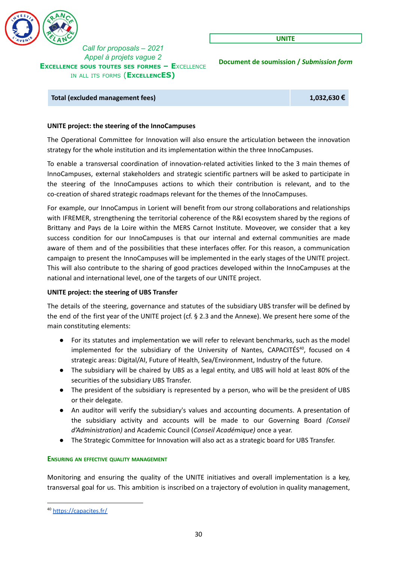

**UNITE**

**Document de soumission /** *Submission form*

**Total (excluded management fees) 1,032,630 €**

#### **UNITE project: the steering of the InnoCampuses**

The Operational Committee for Innovation will also ensure the articulation between the innovation strategy for the whole institution and its implementation within the three InnoCampuses.

To enable a transversal coordination of innovation-related activities linked to the 3 main themes of InnoCampuses, external stakeholders and strategic scientific partners will be asked to participate in the steering of the InnoCampuses actions to which their contribution is relevant, and to the co-creation of shared strategic roadmaps relevant for the themes of the InnoCampuses.

For example, our InnoCampus in Lorient will benefit from our strong collaborations and relationships with IFREMER, strengthening the territorial coherence of the R&I ecosystem shared by the regions of Brittany and Pays de la Loire within the MERS Carnot Institute. Moveover, we consider that a key success condition for our InnoCampuses is that our internal and external communities are made aware of them and of the possibilities that these interfaces offer. For this reason, a communication campaign to present the InnoCampuses will be implemented in the early stages of the UNITE project. This will also contribute to the sharing of good practices developed within the InnoCampuses at the national and international level, one of the targets of our UNITE project.

### **UNITE project: the steering of UBS Transfer**

The details of the steering, governance and statutes of the subsidiary UBS transfer will be defined by the end of the first year of the UNITE project (cf. § 2.3 and the Annexe). We present here some of the main constituting elements:

- For its statutes and implementation we will refer to relevant benchmarks, such as the model implemented for the subsidiary of the University of Nantes, CAPACITÉS<sup>40</sup>, focused on 4 strategic areas: Digital/AI, Future of Health, Sea/Environment, Industry of the future.
- The subsidiary will be chaired by UBS as a legal entity, and UBS will hold at least 80% of the securities of the subsidiary UBS Transfer.
- The president of the subsidiary is represented by a person, who will be the president of UBS or their delegate.
- An auditor will verify the subsidiary's values and accounting documents. A presentation of the subsidiary activity and accounts will be made to our Governing Board *(Conseil d'Administration)* and Academic Council (*Conseil Académique)* once a year.
- The Strategic Committee for Innovation will also act as a strategic board for UBS Transfer.

#### <span id="page-29-0"></span>**ENSURING AN EFFECTIVE QUALITY MANAGEMENT**

Monitoring and ensuring the quality of the UNITE initiatives and overall implementation is a key, transversal goal for us. This ambition is inscribed on a trajectory of evolution in quality management,

<sup>40</sup> <https://capacites.fr/>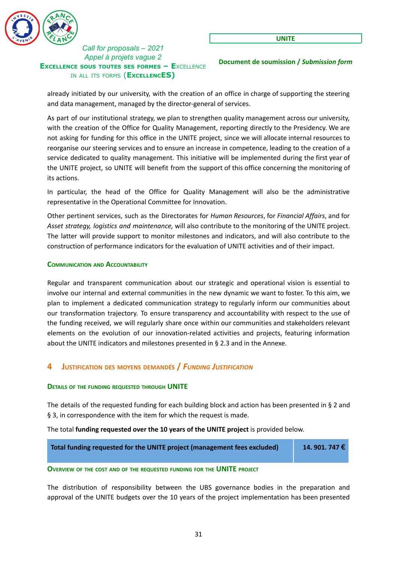

**Document de soumission /** *Submission form*

already initiated by our university, with the creation of an office in charge of supporting the steering and data management, managed by the director-general of services.

As part of our institutional strategy, we plan to strengthen quality management across our university, with the creation of the Office for Quality Management, reporting directly to the Presidency. We are not asking for funding for this office in the UNITE project, since we will allocate internal resources to reorganise our steering services and to ensure an increase in competence, leading to the creation of a service dedicated to quality management. This initiative will be implemented during the first year of the UNITE project, so UNITE will benefit from the support of this office concerning the monitoring of its actions.

In particular, the head of the Office for Quality Management will also be the administrative representative in the Operational Committee for Innovation.

Other pertinent services, such as the Directorates for *Human Resources*, for *Financial Affairs*, and for *Asset strategy, logistics and maintenance,* will also contribute to the monitoring of the UNITE project. The latter will provide support to monitor milestones and indicators, and will also contribute to the construction of performance indicators for the evaluation of UNITE activities and of their impact.

#### <span id="page-30-0"></span>**COMMUNICATION AND ACCOUNTABILITY**

Regular and transparent communication about our strategic and operational vision is essential to involve our internal and external communities in the new dynamic we want to foster. To this aim, we plan to implement a dedicated communication strategy to regularly inform our communities about our transformation trajectory. To ensure transparency and accountability with respect to the use of the funding received, we will regularly share once within our communities and stakeholders relevant elements on the evolution of our innovation-related activities and projects, featuring information about the UNITE indicators and milestones presented in § 2.3 and in the Annexe.

# <span id="page-30-1"></span>**4 JUSTIFICATION DES MOYENS DEMANDÉS /** *FUNDING JUSTIFICATION*

### <span id="page-30-2"></span>**DETAILS OF THE FUNDING REQUESTED THROUGH UNITE**

The details of the requested funding for each building block and action has been presented in § 2 and § 3, in correspondence with the item for which the request is made.

### The total **funding requested over the 10 years of the UNITE project** is provided below.

| Total funding requested for the UNITE project (management fees excluded) | 14.901.747€ |
|--------------------------------------------------------------------------|-------------|
|                                                                          |             |

#### <span id="page-30-3"></span>**OVERVIEW OF THE COST AND OF THE REQUESTED FUNDING FOR THE UNITE PROJECT**

The distribution of responsibility between the UBS governance bodies in the preparation and approval of the UNITE budgets over the 10 years of the project implementation has been presented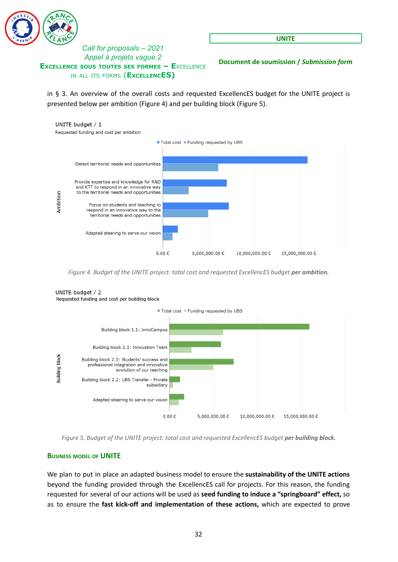

**UNITE**

**Document de soumission /** *Submission form*

in § 3. An overview of the overall costs and requested ExcellencES budget for the UNITE project is presented below per ambition (Figure 4) and per building block (Figure 5).



*Figure 4. Budget of the UNITE project: total cost and requested ExcellencES budget per ambition.*



### UNITE budget / 2 Requested funding and cost per building block

*Figure 5. Budget of the UNITE project: total cost and requested ExcellencES budget per building block.*

### <span id="page-31-0"></span>**BUSINESS MODEL OF UNITE**

We plan to put in place an adapted business model to ensure the **sustainability of the UNITE actions** beyond the funding provided through the ExcellencES call for projects. For this reason, the funding requested for several of our actions will be used as **seed funding to induce a "springboard" effect,** so as to ensure the **fast kick-off and implementation of these actions,** which are expected to prove